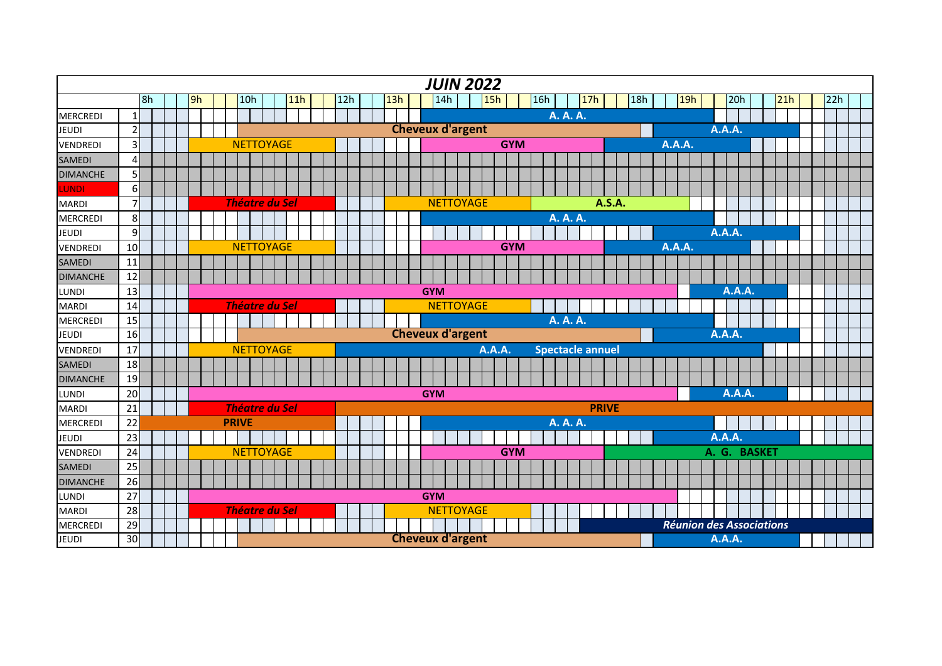|                 |                |    |  |    |              |     |                       |     |     |  |     |  |            | <b>JUIN 2022</b>        |  |               |            |     |          |                         |               |     |  |               |  |               |               |                          |     |  |     |  |
|-----------------|----------------|----|--|----|--------------|-----|-----------------------|-----|-----|--|-----|--|------------|-------------------------|--|---------------|------------|-----|----------|-------------------------|---------------|-----|--|---------------|--|---------------|---------------|--------------------------|-----|--|-----|--|
|                 |                | 8h |  | 9h |              | 10h |                       | 11h | 12h |  | 13h |  |            | 14h                     |  | 15h           |            | 16h |          | 17h                     |               | 18h |  | 19h           |  |               | 20h           |                          | 21h |  | 22h |  |
| <b>MERCREDI</b> | $\mathbf{1}$   |    |  |    |              |     |                       |     |     |  |     |  |            |                         |  |               |            |     | A. A. A. |                         |               |     |  |               |  |               |               |                          |     |  |     |  |
| <b>JEUDI</b>    | $\overline{2}$ |    |  |    |              |     |                       |     |     |  |     |  |            | <b>Cheveux d'argent</b> |  |               |            |     |          |                         |               |     |  |               |  | <b>A.A.A.</b> |               |                          |     |  |     |  |
| <b>VENDREDI</b> | $\overline{3}$ |    |  |    |              |     | <b>NETTOYAGE</b>      |     |     |  |     |  |            |                         |  |               | <b>GYM</b> |     |          |                         |               |     |  | <b>A.A.A.</b> |  |               |               |                          |     |  |     |  |
| <b>SAMEDI</b>   | 4              |    |  |    |              |     |                       |     |     |  |     |  |            |                         |  |               |            |     |          |                         |               |     |  |               |  |               |               |                          |     |  |     |  |
| <b>DIMANCHE</b> | 5              |    |  |    |              |     |                       |     |     |  |     |  |            |                         |  |               |            |     |          |                         |               |     |  |               |  |               |               |                          |     |  |     |  |
| <b>LUNDI</b>    | 6              |    |  |    |              |     |                       |     |     |  |     |  |            |                         |  |               |            |     |          |                         |               |     |  |               |  |               |               |                          |     |  |     |  |
| <b>MARDI</b>    | $\overline{7}$ |    |  |    |              |     | <b>Théatre du Sel</b> |     |     |  |     |  |            | <b>NETTOYAGE</b>        |  |               |            |     |          |                         | <b>A.S.A.</b> |     |  |               |  |               |               |                          |     |  |     |  |
| <b>MERCREDI</b> | 8              |    |  |    |              |     |                       |     |     |  |     |  |            |                         |  |               |            |     | A. A. A. |                         |               |     |  |               |  |               |               |                          |     |  |     |  |
| <b>JEUDI</b>    | $\overline{9}$ |    |  |    |              |     |                       |     |     |  |     |  |            |                         |  |               |            |     |          |                         |               |     |  |               |  | <b>A.A.A.</b> |               |                          |     |  |     |  |
| <b>VENDREDI</b> | 10             |    |  |    |              |     | <b>NETTOYAGE</b>      |     |     |  |     |  |            |                         |  |               | <b>GYM</b> |     |          |                         |               |     |  | <b>A.A.A.</b> |  |               |               |                          |     |  |     |  |
| <b>SAMEDI</b>   | 11             |    |  |    |              |     |                       |     |     |  |     |  |            |                         |  |               |            |     |          |                         |               |     |  |               |  |               |               |                          |     |  |     |  |
| <b>DIMANCHE</b> | 12             |    |  |    |              |     |                       |     |     |  |     |  |            |                         |  |               |            |     |          |                         |               |     |  |               |  |               |               |                          |     |  |     |  |
| <b>LUNDI</b>    | 13             |    |  |    |              |     |                       |     |     |  |     |  | <b>GYM</b> |                         |  |               |            |     |          |                         |               |     |  |               |  |               | <b>A.A.A.</b> |                          |     |  |     |  |
| <b>MARDI</b>    | 14             |    |  |    |              |     | <b>Théatre du Sel</b> |     |     |  |     |  |            | <b>NETTOYAGE</b>        |  |               |            |     |          |                         |               |     |  |               |  |               |               |                          |     |  |     |  |
| <b>MERCREDI</b> | 15             |    |  |    |              |     |                       |     |     |  |     |  |            |                         |  |               |            |     | A. A. A. |                         |               |     |  |               |  |               |               |                          |     |  |     |  |
| <b>JEUDI</b>    | 16             |    |  |    |              |     |                       |     |     |  |     |  |            | <b>Cheveux d'argent</b> |  |               |            |     |          |                         |               |     |  |               |  | <b>A.A.A.</b> |               |                          |     |  |     |  |
| <b>VENDREDI</b> | 17             |    |  |    |              |     | <b>NETTOYAGE</b>      |     |     |  |     |  |            |                         |  | <b>A.A.A.</b> |            |     |          | <b>Spectacle annuel</b> |               |     |  |               |  |               |               |                          |     |  |     |  |
| <b>SAMEDI</b>   | 18             |    |  |    |              |     |                       |     |     |  |     |  |            |                         |  |               |            |     |          |                         |               |     |  |               |  |               |               |                          |     |  |     |  |
| <b>DIMANCHE</b> | 19             |    |  |    |              |     |                       |     |     |  |     |  |            |                         |  |               |            |     |          |                         |               |     |  |               |  |               |               |                          |     |  |     |  |
| <b>LUNDI</b>    | 20             |    |  |    |              |     |                       |     |     |  |     |  | <b>GYM</b> |                         |  |               |            |     |          |                         |               |     |  |               |  |               | <b>A.A.A.</b> |                          |     |  |     |  |
| <b>MARDI</b>    | 21             |    |  |    |              |     | <b>Théatre du Sel</b> |     |     |  |     |  |            |                         |  |               |            |     |          |                         | <b>PRIVE</b>  |     |  |               |  |               |               |                          |     |  |     |  |
| <b>MERCREDI</b> | 22             |    |  |    | <b>PRIVE</b> |     |                       |     |     |  |     |  |            |                         |  |               |            |     | A. A. A. |                         |               |     |  |               |  |               |               |                          |     |  |     |  |
| <b>JEUDI</b>    | 23             |    |  |    |              |     |                       |     |     |  |     |  |            |                         |  |               |            |     |          |                         |               |     |  |               |  | <b>A.A.A.</b> |               |                          |     |  |     |  |
| <b>VENDREDI</b> | 24             |    |  |    |              |     | <b>NETTOYAGE</b>      |     |     |  |     |  |            |                         |  |               | <b>GYM</b> |     |          |                         |               |     |  |               |  |               |               | A. G. BASKET             |     |  |     |  |
| <b>SAMEDI</b>   | 25             |    |  |    |              |     |                       |     |     |  |     |  |            |                         |  |               |            |     |          |                         |               |     |  |               |  |               |               |                          |     |  |     |  |
| <b>DIMANCHE</b> | 26             |    |  |    |              |     |                       |     |     |  |     |  |            |                         |  |               |            |     |          |                         |               |     |  |               |  |               |               |                          |     |  |     |  |
| <b>LUNDI</b>    | 27             |    |  |    |              |     |                       |     |     |  |     |  | <b>GYM</b> |                         |  |               |            |     |          |                         |               |     |  |               |  |               |               |                          |     |  |     |  |
| <b>MARDI</b>    | 28             |    |  |    |              |     | <b>Théatre du Sel</b> |     |     |  |     |  |            | <b>NETTOYAGE</b>        |  |               |            |     |          |                         |               |     |  |               |  |               |               |                          |     |  |     |  |
| <b>MERCREDI</b> | 29             |    |  |    |              |     |                       |     |     |  |     |  |            |                         |  |               |            |     |          |                         |               |     |  |               |  |               |               | Réunion des Associations |     |  |     |  |
| <b>JEUDI</b>    | 30             |    |  |    |              |     |                       |     |     |  |     |  |            | <b>Cheveux d'argent</b> |  |               |            |     |          |                         |               |     |  |               |  | <b>A.A.A.</b> |               |                          |     |  |     |  |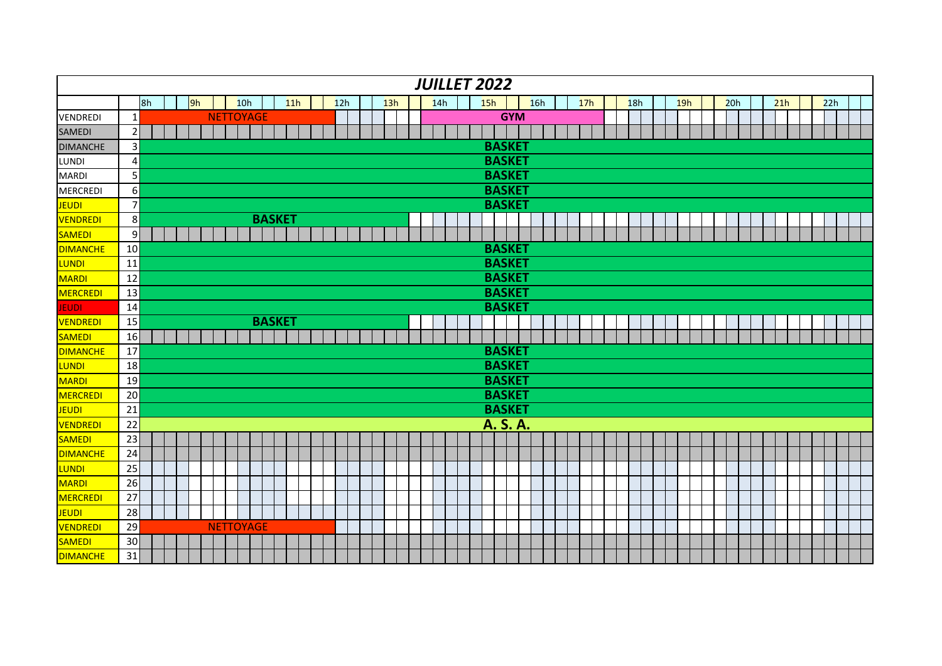|                 |                  |    |    |                  |     |               |     |  |     |  |     |  |     | <b>JUILLET 2022</b> |     |               |            |     |  |     |  |     |  |     |  |     |  |     |  |     |  |  |
|-----------------|------------------|----|----|------------------|-----|---------------|-----|--|-----|--|-----|--|-----|---------------------|-----|---------------|------------|-----|--|-----|--|-----|--|-----|--|-----|--|-----|--|-----|--|--|
|                 |                  | 8h | 9h |                  | 10h |               | 11h |  | 12h |  | 13h |  | 14h |                     | 15h |               |            | 16h |  | 17h |  | 18h |  | 19h |  | 20h |  | 21h |  | 22h |  |  |
| VENDREDI        | $1\,$            |    |    | <b>NETTOYAGE</b> |     |               |     |  |     |  |     |  |     |                     |     |               | <b>GYM</b> |     |  |     |  |     |  |     |  |     |  |     |  |     |  |  |
| <b>SAMEDI</b>   | $\overline{2}$   |    |    |                  |     |               |     |  |     |  |     |  |     |                     |     |               |            |     |  |     |  |     |  |     |  |     |  |     |  |     |  |  |
| <b>DIMANCHE</b> | $\overline{3}$   |    |    |                  |     |               |     |  |     |  |     |  |     |                     |     | <b>BASKET</b> |            |     |  |     |  |     |  |     |  |     |  |     |  |     |  |  |
| LUNDI           | $\vert$          |    |    |                  |     |               |     |  |     |  |     |  |     |                     |     | <b>BASKET</b> |            |     |  |     |  |     |  |     |  |     |  |     |  |     |  |  |
| MARDI           | 5 <sup>1</sup>   |    |    |                  |     |               |     |  |     |  |     |  |     |                     |     | <b>BASKET</b> |            |     |  |     |  |     |  |     |  |     |  |     |  |     |  |  |
| <b>MERCREDI</b> | $6 \mid$         |    |    |                  |     |               |     |  |     |  |     |  |     |                     |     | <b>BASKET</b> |            |     |  |     |  |     |  |     |  |     |  |     |  |     |  |  |
| JEUDI           | $\overline{7}$   |    |    |                  |     |               |     |  |     |  |     |  |     |                     |     | <b>BASKET</b> |            |     |  |     |  |     |  |     |  |     |  |     |  |     |  |  |
| <b>VENDREDI</b> | $\boldsymbol{8}$ |    |    |                  |     | <b>BASKET</b> |     |  |     |  |     |  |     |                     |     |               |            |     |  |     |  |     |  |     |  |     |  |     |  |     |  |  |
| SAMEDI          | $\overline{9}$   |    |    |                  |     |               |     |  |     |  |     |  |     |                     |     |               |            |     |  |     |  |     |  |     |  |     |  |     |  |     |  |  |
| <b>DIMANCHE</b> | 10               |    |    |                  |     |               |     |  |     |  |     |  |     |                     |     | <b>BASKET</b> |            |     |  |     |  |     |  |     |  |     |  |     |  |     |  |  |
| <b>LUNDI</b>    | 11               |    |    |                  |     |               |     |  |     |  |     |  |     |                     |     | <b>BASKET</b> |            |     |  |     |  |     |  |     |  |     |  |     |  |     |  |  |
| MARDI           | 12               |    |    |                  |     |               |     |  |     |  |     |  |     |                     |     | <b>BASKET</b> |            |     |  |     |  |     |  |     |  |     |  |     |  |     |  |  |
| MERCREDI        | 13               |    |    |                  |     |               |     |  |     |  |     |  |     |                     |     | <b>BASKET</b> |            |     |  |     |  |     |  |     |  |     |  |     |  |     |  |  |
| JEUDI           | 14               |    |    |                  |     |               |     |  |     |  |     |  |     |                     |     | <b>BASKET</b> |            |     |  |     |  |     |  |     |  |     |  |     |  |     |  |  |
| <b>VENDREDI</b> | 15               |    |    |                  |     | <b>BASKET</b> |     |  |     |  |     |  |     |                     |     |               |            |     |  |     |  |     |  |     |  |     |  |     |  |     |  |  |
| <b>SAMEDI</b>   | 16               |    |    |                  |     |               |     |  |     |  |     |  |     |                     |     |               |            |     |  |     |  |     |  |     |  |     |  |     |  |     |  |  |
| <b>DIMANCHE</b> | 17               |    |    |                  |     |               |     |  |     |  |     |  |     |                     |     | <b>BASKET</b> |            |     |  |     |  |     |  |     |  |     |  |     |  |     |  |  |
| <b>LUNDI</b>    | 18               |    |    |                  |     |               |     |  |     |  |     |  |     |                     |     | <b>BASKET</b> |            |     |  |     |  |     |  |     |  |     |  |     |  |     |  |  |
| <b>MARDI</b>    | 19               |    |    |                  |     |               |     |  |     |  |     |  |     |                     |     | <b>BASKET</b> |            |     |  |     |  |     |  |     |  |     |  |     |  |     |  |  |
| <b>MERCREDI</b> | 20               |    |    |                  |     |               |     |  |     |  |     |  |     |                     |     | <b>BASKET</b> |            |     |  |     |  |     |  |     |  |     |  |     |  |     |  |  |
| <b>JEUDI</b>    | 21               |    |    |                  |     |               |     |  |     |  |     |  |     |                     |     | <b>BASKET</b> |            |     |  |     |  |     |  |     |  |     |  |     |  |     |  |  |
| <b>VENDREDI</b> | 22               |    |    |                  |     |               |     |  |     |  |     |  |     |                     |     | A. S. A.      |            |     |  |     |  |     |  |     |  |     |  |     |  |     |  |  |
| <b>SAMEDI</b>   | 23               |    |    |                  |     |               |     |  |     |  |     |  |     |                     |     |               |            |     |  |     |  |     |  |     |  |     |  |     |  |     |  |  |
| <b>DIMANCHE</b> | 24               |    |    |                  |     |               |     |  |     |  |     |  |     |                     |     |               |            |     |  |     |  |     |  |     |  |     |  |     |  |     |  |  |
| <b>LUNDI</b>    | 25               |    |    |                  |     |               |     |  |     |  |     |  |     |                     |     |               |            |     |  |     |  |     |  |     |  |     |  |     |  |     |  |  |
| MARDI           | 26               |    |    |                  |     |               |     |  |     |  |     |  |     |                     |     |               |            |     |  |     |  |     |  |     |  |     |  |     |  |     |  |  |
| MERCREDI        | 27               |    |    |                  |     |               |     |  |     |  |     |  |     |                     |     |               |            |     |  |     |  |     |  |     |  |     |  |     |  |     |  |  |
| <b>JEUDI</b>    | 28               |    |    |                  |     |               |     |  |     |  |     |  |     |                     |     |               |            |     |  |     |  |     |  |     |  |     |  |     |  |     |  |  |
| <b>VENDREDI</b> | 29               |    |    | <b>NETTOYAGE</b> |     |               |     |  |     |  |     |  |     |                     |     |               |            |     |  |     |  |     |  |     |  |     |  |     |  |     |  |  |
| SAMEDI          | 30               |    |    |                  |     |               |     |  |     |  |     |  |     |                     |     |               |            |     |  |     |  |     |  |     |  |     |  |     |  |     |  |  |
| <b>DIMANCHE</b> | 31               |    |    |                  |     |               |     |  |     |  |     |  |     |                     |     |               |            |     |  |     |  |     |  |     |  |     |  |     |  |     |  |  |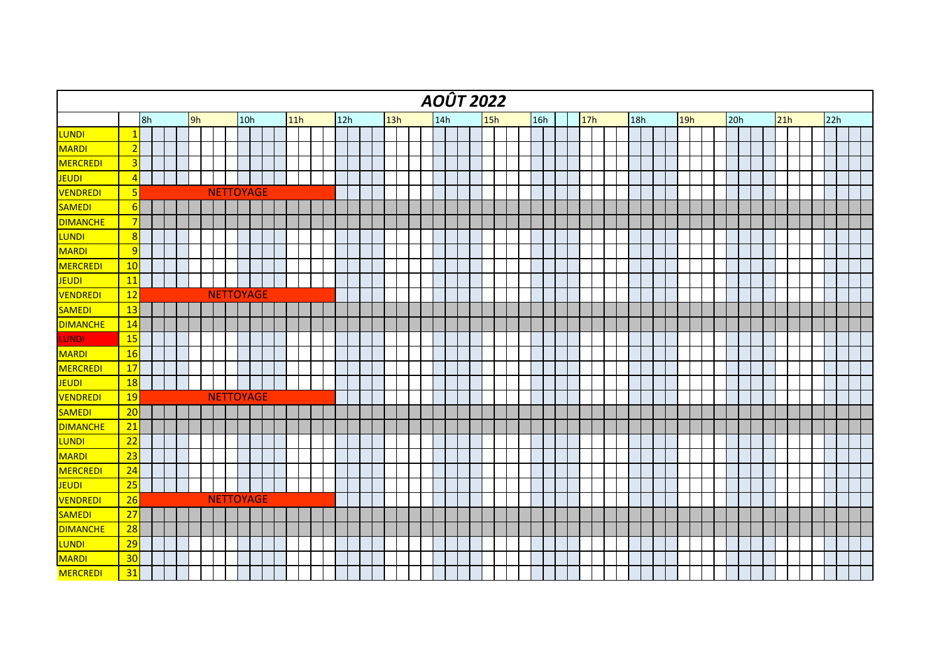|                 |                         |    |                  |     |     |     |  |     | <b>AOÛT 2022</b> |  |     |     |  |     |     |  |     |     |     |  |
|-----------------|-------------------------|----|------------------|-----|-----|-----|--|-----|------------------|--|-----|-----|--|-----|-----|--|-----|-----|-----|--|
|                 | 8h                      | 9h | 10h              | 11h | 12h | 13h |  | 14h | 15h              |  | 16h | 17h |  | 18h | 19h |  | 20h | 21h | 22h |  |
| <b>LUNDI</b>    | $\mathbf{1}$            |    |                  |     |     |     |  |     |                  |  |     |     |  |     |     |  |     |     |     |  |
| <b>MARDI</b>    | $\overline{2}$          |    |                  |     |     |     |  |     |                  |  |     |     |  |     |     |  |     |     |     |  |
| <b>MERCREDI</b> | $\overline{\mathbf{3}}$ |    |                  |     |     |     |  |     |                  |  |     |     |  |     |     |  |     |     |     |  |
| JEUDI           | $\overline{4}$          |    |                  |     |     |     |  |     |                  |  |     |     |  |     |     |  |     |     |     |  |
| <b>VENDREDI</b> | $5\phantom{a}$          |    | <b>NETTOYAGE</b> |     |     |     |  |     |                  |  |     |     |  |     |     |  |     |     |     |  |
| SAMEDI          | 6                       |    |                  |     |     |     |  |     |                  |  |     |     |  |     |     |  |     |     |     |  |
| <b>DIMANCHE</b> | 7                       |    |                  |     |     |     |  |     |                  |  |     |     |  |     |     |  |     |     |     |  |
| <b>LUNDI</b>    | 8                       |    |                  |     |     |     |  |     |                  |  |     |     |  |     |     |  |     |     |     |  |
| MARDI           | 9                       |    |                  |     |     |     |  |     |                  |  |     |     |  |     |     |  |     |     |     |  |
| <b>MERCREDI</b> | 10                      |    |                  |     |     |     |  |     |                  |  |     |     |  |     |     |  |     |     |     |  |
| JEUDI           | 11                      |    |                  |     |     |     |  |     |                  |  |     |     |  |     |     |  |     |     |     |  |
| VENDREDI        | 12                      |    | <b>NETTOYAGE</b> |     |     |     |  |     |                  |  |     |     |  |     |     |  |     |     |     |  |
| SAMEDI          | 13                      |    |                  |     |     |     |  |     |                  |  |     |     |  |     |     |  |     |     |     |  |
| <b>DIMANCHE</b> | 14                      |    |                  |     |     |     |  |     |                  |  |     |     |  |     |     |  |     |     |     |  |
| <b>LUNDI</b>    | <b>15</b>               |    |                  |     |     |     |  |     |                  |  |     |     |  |     |     |  |     |     |     |  |
| MARDI           | 16                      |    |                  |     |     |     |  |     |                  |  |     |     |  |     |     |  |     |     |     |  |
| <b>MERCREDI</b> | 17                      |    |                  |     |     |     |  |     |                  |  |     |     |  |     |     |  |     |     |     |  |
| JEUDI           | <b>18</b>               |    |                  |     |     |     |  |     |                  |  |     |     |  |     |     |  |     |     |     |  |
| <b>VENDREDI</b> | <b>19</b>               |    | <b>NETTOYAGE</b> |     |     |     |  |     |                  |  |     |     |  |     |     |  |     |     |     |  |
| <b>SAMEDI</b>   | 20                      |    |                  |     |     |     |  |     |                  |  |     |     |  |     |     |  |     |     |     |  |
| <b>DIMANCHE</b> | 21                      |    |                  |     |     |     |  |     |                  |  |     |     |  |     |     |  |     |     |     |  |
| <b>LUNDI</b>    | $\overline{22}$         |    |                  |     |     |     |  |     |                  |  |     |     |  |     |     |  |     |     |     |  |
| MARDI           | $\overline{23}$         |    |                  |     |     |     |  |     |                  |  |     |     |  |     |     |  |     |     |     |  |
| <b>MERCREDI</b> | 24                      |    |                  |     |     |     |  |     |                  |  |     |     |  |     |     |  |     |     |     |  |
| JEUDI           | 25                      |    |                  |     |     |     |  |     |                  |  |     |     |  |     |     |  |     |     |     |  |
| <b>VENDREDI</b> | 26                      |    | <b>NETTOYAGE</b> |     |     |     |  |     |                  |  |     |     |  |     |     |  |     |     |     |  |
| <b>SAMEDI</b>   | 27                      |    |                  |     |     |     |  |     |                  |  |     |     |  |     |     |  |     |     |     |  |
| <b>DIMANCHE</b> | 28                      |    |                  |     |     |     |  |     |                  |  |     |     |  |     |     |  |     |     |     |  |
| <b>LUNDI</b>    | 29                      |    |                  |     |     |     |  |     |                  |  |     |     |  |     |     |  |     |     |     |  |
| MARDI           | 30                      |    |                  |     |     |     |  |     |                  |  |     |     |  |     |     |  |     |     |     |  |
| <b>MERCREDI</b> | 31                      |    |                  |     |     |     |  |     |                  |  |     |     |  |     |     |  |     |     |     |  |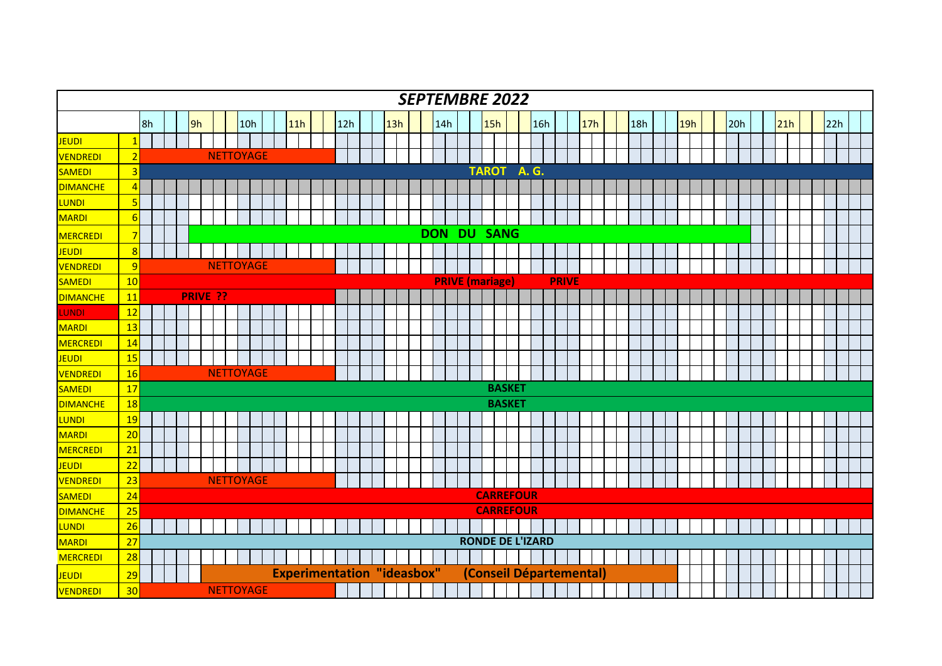|                 |                  |    |                 |                  |     |                                   |  |     |  |     |  |            |     |  | <b>SEPTEMBRE 2022</b>   |  |     |                         |     |  |     |  |     |  |     |  |     |  |     |  |
|-----------------|------------------|----|-----------------|------------------|-----|-----------------------------------|--|-----|--|-----|--|------------|-----|--|-------------------------|--|-----|-------------------------|-----|--|-----|--|-----|--|-----|--|-----|--|-----|--|
|                 |                  | 8h | 9h              |                  | 10h | 11h                               |  | 12h |  | 13h |  |            | 14h |  | 15h                     |  | 16h |                         | 17h |  | 18h |  | 19h |  | 20h |  | 21h |  | 22h |  |
| JEUDI           | 1                |    |                 |                  |     |                                   |  |     |  |     |  |            |     |  |                         |  |     |                         |     |  |     |  |     |  |     |  |     |  |     |  |
| VENDREDI        | $\overline{2}$   |    |                 | <b>NETTOYAGE</b> |     |                                   |  |     |  |     |  |            |     |  |                         |  |     |                         |     |  |     |  |     |  |     |  |     |  |     |  |
| <b>SAMEDI</b>   | $\overline{3}$   |    |                 |                  |     |                                   |  |     |  |     |  |            |     |  | TAROT A.G.              |  |     |                         |     |  |     |  |     |  |     |  |     |  |     |  |
| <b>DIMANCHE</b> | $\overline{4}$   |    |                 |                  |     |                                   |  |     |  |     |  |            |     |  |                         |  |     |                         |     |  |     |  |     |  |     |  |     |  |     |  |
| <b>LUNDI</b>    | 5                |    |                 |                  |     |                                   |  |     |  |     |  |            |     |  |                         |  |     |                         |     |  |     |  |     |  |     |  |     |  |     |  |
| <b>MARDI</b>    | $6 \overline{6}$ |    |                 |                  |     |                                   |  |     |  |     |  |            |     |  |                         |  |     |                         |     |  |     |  |     |  |     |  |     |  |     |  |
| <b>MERCREDI</b> | $\overline{7}$   |    |                 |                  |     |                                   |  |     |  |     |  | <b>DON</b> |     |  | <b>DU SANG</b>          |  |     |                         |     |  |     |  |     |  |     |  |     |  |     |  |
| JEUDI           | 8                |    |                 |                  |     |                                   |  |     |  |     |  |            |     |  |                         |  |     |                         |     |  |     |  |     |  |     |  |     |  |     |  |
| <b>VENDREDI</b> | 9                |    |                 | <b>NETTOYAGE</b> |     |                                   |  |     |  |     |  |            |     |  |                         |  |     |                         |     |  |     |  |     |  |     |  |     |  |     |  |
| <b>SAMEDI</b>   | 10               |    |                 |                  |     |                                   |  |     |  |     |  |            |     |  | <b>PRIVE</b> (mariage)  |  |     | <b>PRIVE</b>            |     |  |     |  |     |  |     |  |     |  |     |  |
| <b>DIMANCHE</b> | 11               |    | <b>PRIVE ??</b> |                  |     |                                   |  |     |  |     |  |            |     |  |                         |  |     |                         |     |  |     |  |     |  |     |  |     |  |     |  |
| <b>LUNDI</b>    | 12               |    |                 |                  |     |                                   |  |     |  |     |  |            |     |  |                         |  |     |                         |     |  |     |  |     |  |     |  |     |  |     |  |
| <b>MARDI</b>    | 13               |    |                 |                  |     |                                   |  |     |  |     |  |            |     |  |                         |  |     |                         |     |  |     |  |     |  |     |  |     |  |     |  |
| <b>MERCREDI</b> | 14               |    |                 |                  |     |                                   |  |     |  |     |  |            |     |  |                         |  |     |                         |     |  |     |  |     |  |     |  |     |  |     |  |
| JEUDI           | <b>15</b>        |    |                 |                  |     |                                   |  |     |  |     |  |            |     |  |                         |  |     |                         |     |  |     |  |     |  |     |  |     |  |     |  |
| <b>VENDREDI</b> | <b>16</b>        |    |                 | <b>NETTOYAGE</b> |     |                                   |  |     |  |     |  |            |     |  |                         |  |     |                         |     |  |     |  |     |  |     |  |     |  |     |  |
| <b>SAMEDI</b>   | 17               |    |                 |                  |     |                                   |  |     |  |     |  |            |     |  | <b>BASKET</b>           |  |     |                         |     |  |     |  |     |  |     |  |     |  |     |  |
| <b>DIMANCHE</b> | <b>18</b>        |    |                 |                  |     |                                   |  |     |  |     |  |            |     |  | <b>BASKET</b>           |  |     |                         |     |  |     |  |     |  |     |  |     |  |     |  |
| <b>LUNDI</b>    | <b>19</b>        |    |                 |                  |     |                                   |  |     |  |     |  |            |     |  |                         |  |     |                         |     |  |     |  |     |  |     |  |     |  |     |  |
| MARDI           | 20               |    |                 |                  |     |                                   |  |     |  |     |  |            |     |  |                         |  |     |                         |     |  |     |  |     |  |     |  |     |  |     |  |
| <b>MERCREDI</b> | 21               |    |                 |                  |     |                                   |  |     |  |     |  |            |     |  |                         |  |     |                         |     |  |     |  |     |  |     |  |     |  |     |  |
| JEUDI           | 22               |    |                 |                  |     |                                   |  |     |  |     |  |            |     |  |                         |  |     |                         |     |  |     |  |     |  |     |  |     |  |     |  |
| VENDREDI        | 23               |    |                 | <b>NETTOYAGE</b> |     |                                   |  |     |  |     |  |            |     |  |                         |  |     |                         |     |  |     |  |     |  |     |  |     |  |     |  |
| <b>SAMEDI</b>   | 24               |    |                 |                  |     |                                   |  |     |  |     |  |            |     |  | <b>CARREFOUR</b>        |  |     |                         |     |  |     |  |     |  |     |  |     |  |     |  |
| <b>DIMANCHE</b> | 25               |    |                 |                  |     |                                   |  |     |  |     |  |            |     |  | <b>CARREFOUR</b>        |  |     |                         |     |  |     |  |     |  |     |  |     |  |     |  |
| <b>LUNDI</b>    | 26               |    |                 |                  |     |                                   |  |     |  |     |  |            |     |  |                         |  |     |                         |     |  |     |  |     |  |     |  |     |  |     |  |
| <b>MARDI</b>    | 27               |    |                 |                  |     |                                   |  |     |  |     |  |            |     |  | <b>RONDE DE L'IZARD</b> |  |     |                         |     |  |     |  |     |  |     |  |     |  |     |  |
| <b>MERCREDI</b> | 28               |    |                 |                  |     |                                   |  |     |  |     |  |            |     |  |                         |  |     |                         |     |  |     |  |     |  |     |  |     |  |     |  |
| JEUDI           | 29               |    |                 |                  |     | <b>Experimentation "ideasbox"</b> |  |     |  |     |  |            |     |  |                         |  |     | (Conseil Départemental) |     |  |     |  |     |  |     |  |     |  |     |  |
| <b>VENDREDI</b> | 30               |    |                 | <b>NETTOYAGE</b> |     |                                   |  |     |  |     |  |            |     |  |                         |  |     |                         |     |  |     |  |     |  |     |  |     |  |     |  |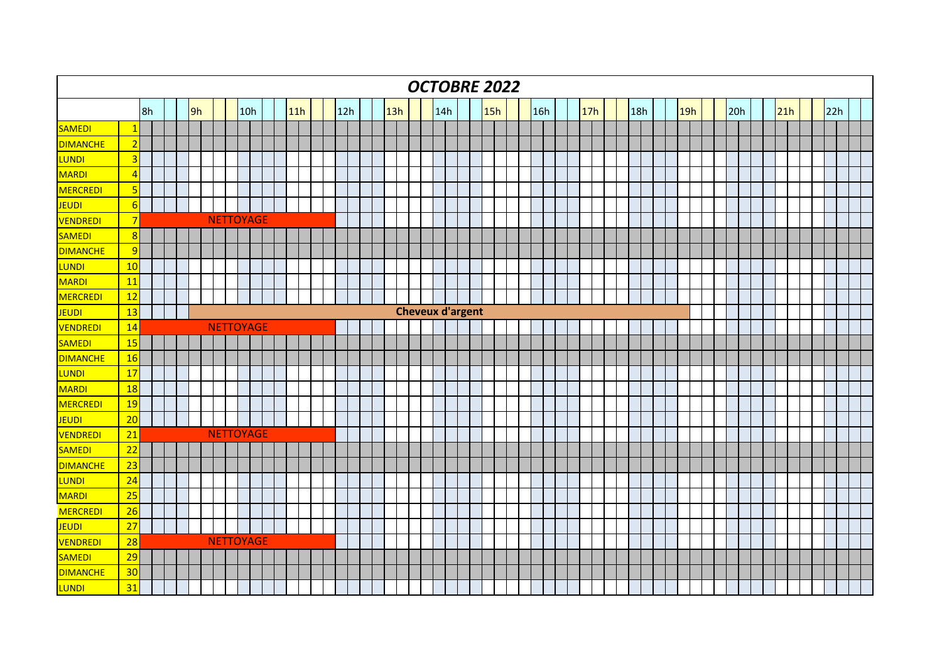|                 |                         |    |    |                  |     |  |     |  |     |  |     |  |                         |  | <b>OCTOBRE 2022</b> |  |     |  |     |  |     |  |     |  |     |  |     |  |     |  |
|-----------------|-------------------------|----|----|------------------|-----|--|-----|--|-----|--|-----|--|-------------------------|--|---------------------|--|-----|--|-----|--|-----|--|-----|--|-----|--|-----|--|-----|--|
|                 |                         | 8h | 9h |                  | 10h |  | 11h |  | 12h |  | 13h |  | 14h                     |  | 15h                 |  | 16h |  | 17h |  | 18h |  | 19h |  | 20h |  | 21h |  | 22h |  |
| <b>SAMEDI</b>   | $\overline{1}$          |    |    |                  |     |  |     |  |     |  |     |  |                         |  |                     |  |     |  |     |  |     |  |     |  |     |  |     |  |     |  |
| <b>DIMANCHE</b> | $\overline{2}$          |    |    |                  |     |  |     |  |     |  |     |  |                         |  |                     |  |     |  |     |  |     |  |     |  |     |  |     |  |     |  |
| <b>LUNDI</b>    | $\overline{3}$          |    |    |                  |     |  |     |  |     |  |     |  |                         |  |                     |  |     |  |     |  |     |  |     |  |     |  |     |  |     |  |
| MARDI           | $\overline{4}$          |    |    |                  |     |  |     |  |     |  |     |  |                         |  |                     |  |     |  |     |  |     |  |     |  |     |  |     |  |     |  |
| <b>MERCREDI</b> | $\overline{\mathbf{5}}$ |    |    |                  |     |  |     |  |     |  |     |  |                         |  |                     |  |     |  |     |  |     |  |     |  |     |  |     |  |     |  |
| JEUDI           | $6 \overline{6}$        |    |    |                  |     |  |     |  |     |  |     |  |                         |  |                     |  |     |  |     |  |     |  |     |  |     |  |     |  |     |  |
| VENDREDI        | $\overline{7}$          |    |    | <b>NETTOYAGE</b> |     |  |     |  |     |  |     |  |                         |  |                     |  |     |  |     |  |     |  |     |  |     |  |     |  |     |  |
| <b>SAMEDI</b>   | 8                       |    |    |                  |     |  |     |  |     |  |     |  |                         |  |                     |  |     |  |     |  |     |  |     |  |     |  |     |  |     |  |
| <b>DIMANCHE</b> | $\overline{9}$          |    |    |                  |     |  |     |  |     |  |     |  |                         |  |                     |  |     |  |     |  |     |  |     |  |     |  |     |  |     |  |
| <b>LUNDI</b>    | 10                      |    |    |                  |     |  |     |  |     |  |     |  |                         |  |                     |  |     |  |     |  |     |  |     |  |     |  |     |  |     |  |
| <b>MARDI</b>    | 11                      |    |    |                  |     |  |     |  |     |  |     |  |                         |  |                     |  |     |  |     |  |     |  |     |  |     |  |     |  |     |  |
| <b>MERCREDI</b> | 12                      |    |    |                  |     |  |     |  |     |  |     |  |                         |  |                     |  |     |  |     |  |     |  |     |  |     |  |     |  |     |  |
| JEUDI           | 13                      |    |    |                  |     |  |     |  |     |  |     |  | <b>Cheveux d'argent</b> |  |                     |  |     |  |     |  |     |  |     |  |     |  |     |  |     |  |
| VENDREDI        | 14                      |    |    | <b>NETTOYAGE</b> |     |  |     |  |     |  |     |  |                         |  |                     |  |     |  |     |  |     |  |     |  |     |  |     |  |     |  |
| SAMEDI          | <b>15</b>               |    |    |                  |     |  |     |  |     |  |     |  |                         |  |                     |  |     |  |     |  |     |  |     |  |     |  |     |  |     |  |
| <b>DIMANCHE</b> | <b>16</b>               |    |    |                  |     |  |     |  |     |  |     |  |                         |  |                     |  |     |  |     |  |     |  |     |  |     |  |     |  |     |  |
| <b>LUNDI</b>    | 17                      |    |    |                  |     |  |     |  |     |  |     |  |                         |  |                     |  |     |  |     |  |     |  |     |  |     |  |     |  |     |  |
| MARDI           | 18                      |    |    |                  |     |  |     |  |     |  |     |  |                         |  |                     |  |     |  |     |  |     |  |     |  |     |  |     |  |     |  |
| <b>MERCREDI</b> | <b>19</b>               |    |    |                  |     |  |     |  |     |  |     |  |                         |  |                     |  |     |  |     |  |     |  |     |  |     |  |     |  |     |  |
| JEUDI           | 20                      |    |    |                  |     |  |     |  |     |  |     |  |                         |  |                     |  |     |  |     |  |     |  |     |  |     |  |     |  |     |  |
| <b>VENDREDI</b> | 21                      |    |    | <b>NETTOYAGE</b> |     |  |     |  |     |  |     |  |                         |  |                     |  |     |  |     |  |     |  |     |  |     |  |     |  |     |  |
| <b>SAMEDI</b>   | 22                      |    |    |                  |     |  |     |  |     |  |     |  |                         |  |                     |  |     |  |     |  |     |  |     |  |     |  |     |  |     |  |
| <b>DIMANCHE</b> | 23                      |    |    |                  |     |  |     |  |     |  |     |  |                         |  |                     |  |     |  |     |  |     |  |     |  |     |  |     |  |     |  |
| <b>LUNDI</b>    | 24                      |    |    |                  |     |  |     |  |     |  |     |  |                         |  |                     |  |     |  |     |  |     |  |     |  |     |  |     |  |     |  |
| MARDI           | 25                      |    |    |                  |     |  |     |  |     |  |     |  |                         |  |                     |  |     |  |     |  |     |  |     |  |     |  |     |  |     |  |
| <b>MERCREDI</b> | 26                      |    |    |                  |     |  |     |  |     |  |     |  |                         |  |                     |  |     |  |     |  |     |  |     |  |     |  |     |  |     |  |
| JEUDI           | 27                      |    |    |                  |     |  |     |  |     |  |     |  |                         |  |                     |  |     |  |     |  |     |  |     |  |     |  |     |  |     |  |
| <b>VENDREDI</b> | 28                      |    |    | <b>NETTOYAGE</b> |     |  |     |  |     |  |     |  |                         |  |                     |  |     |  |     |  |     |  |     |  |     |  |     |  |     |  |
| <b>SAMEDI</b>   | 29                      |    |    |                  |     |  |     |  |     |  |     |  |                         |  |                     |  |     |  |     |  |     |  |     |  |     |  |     |  |     |  |
| <b>DIMANCHE</b> | 30                      |    |    |                  |     |  |     |  |     |  |     |  |                         |  |                     |  |     |  |     |  |     |  |     |  |     |  |     |  |     |  |
| <b>LUNDI</b>    | 31                      |    |    |                  |     |  |     |  |     |  |     |  |                         |  |                     |  |     |  |     |  |     |  |     |  |     |  |     |  |     |  |